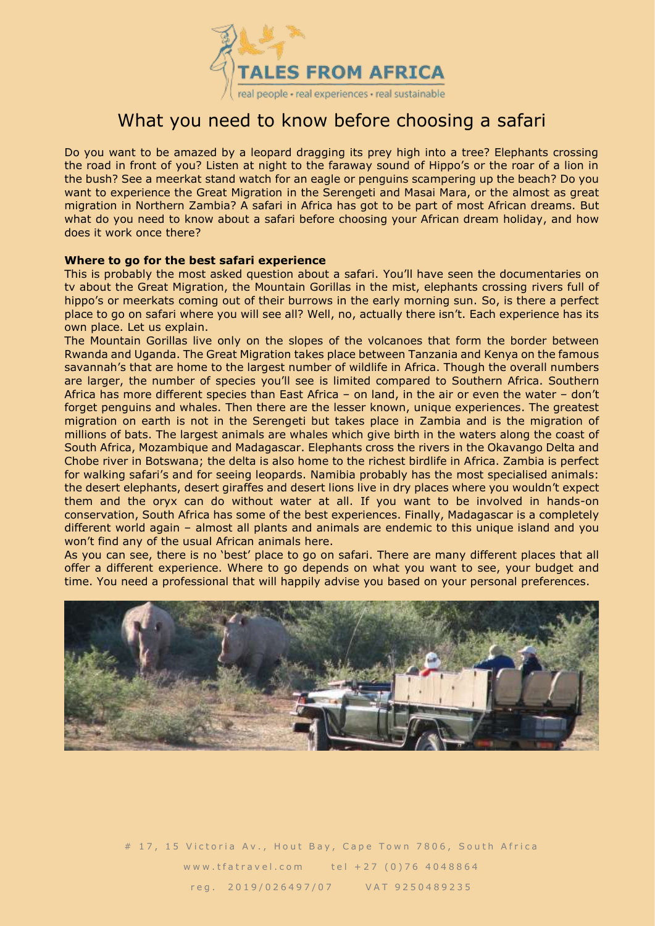

## What you need to know before choosing a safari

Do you want to be amazed by a leopard dragging its prey high into a tree? Elephants crossing the road in front of you? Listen at night to the faraway sound of Hippo's or the roar of a lion in the bush? See a meerkat stand watch for an eagle or penguins scampering up the beach? Do you want to experience the Great Migration in the Serengeti and Masai Mara, or the almost as great migration in Northern Zambia? A safari in Africa has got to be part of most African dreams. But what do you need to know about a safari before choosing your African dream holiday, and how does it work once there?

## **Where to go for the best safari experience**

This is probably the most asked question about a safari. You'll have seen the documentaries on tv about the Great Migration, the Mountain Gorillas in the mist, elephants crossing rivers full of hippo's or meerkats coming out of their burrows in the early morning sun. So, is there a perfect place to go on safari where you will see all? Well, no, actually there isn't. Each experience has its own place. Let us explain.

The Mountain Gorillas live only on the slopes of the volcanoes that form the border between Rwanda and Uganda. The Great Migration takes place between Tanzania and Kenya on the famous savannah's that are home to the largest number of wildlife in Africa. Though the overall numbers are larger, the number of species you'll see is limited compared to Southern Africa. Southern Africa has more different species than East Africa – on land, in the air or even the water – don't forget penguins and whales. Then there are the lesser known, unique experiences. The greatest migration on earth is not in the Serengeti but takes place in Zambia and is the migration of millions of bats. The largest animals are whales which give birth in the waters along the coast of South Africa, Mozambique and Madagascar. Elephants cross the rivers in the Okavango Delta and Chobe river in Botswana; the delta is also home to the richest birdlife in Africa. Zambia is perfect for walking safari's and for seeing leopards. Namibia probably has the most specialised animals: the desert elephants, desert giraffes and desert lions live in dry places where you wouldn't expect them and the oryx can do without water at all. If you want to be involved in hands-on conservation, South Africa has some of the best experiences. Finally, Madagascar is a completely different world again – almost all plants and animals are endemic to this unique island and you won't find any of the usual African animals here.

As you can see, there is no 'best' place to go on safari. There are many different places that all offer a different experience. Where to go depends on what you want to see, your budget and time. You need a professional that will happily advise you based on your personal preferences.



# 17, 15 Victoria Av., Hout Bay, Cape Town 7806, South Africa www.tfatravel.com tel +27 (0) 76 40 48 8 6 4 reg. 2019/026497/07 VAT 9250489235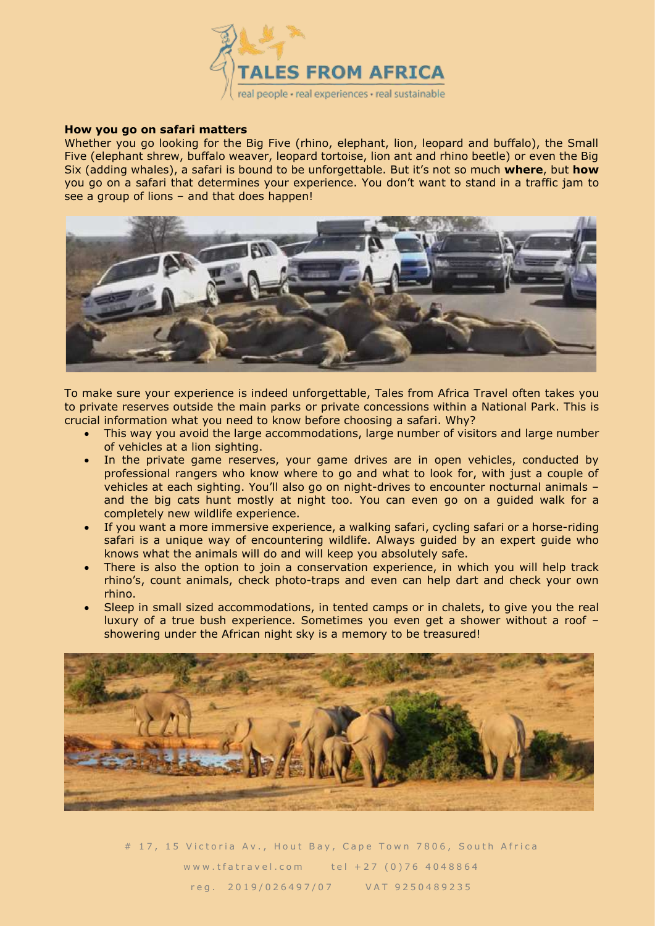

## **How you go on safari matters**

Whether you go looking for the Big Five (rhino, elephant, lion, leopard and buffalo), the Small Five (elephant shrew, buffalo weaver, leopard tortoise, lion ant and rhino beetle) or even the Big Six (adding whales), a safari is bound to be unforgettable. But it's not so much **where**, but **how**  you go on a safari that determines your experience. You don't want to stand in a traffic jam to see a group of lions – and that does happen!



To make sure your experience is indeed unforgettable, Tales from Africa Travel often takes you to private reserves outside the main parks or private concessions within a National Park. This is crucial information what you need to know before choosing a safari. Why?

- This way you avoid the large accommodations, large number of visitors and large number of vehicles at a lion sighting.
- In the private game reserves, your game drives are in open vehicles, conducted by professional rangers who know where to go and what to look for, with just a couple of vehicles at each sighting. You'll also go on night-drives to encounter nocturnal animals – and the big cats hunt mostly at night too. You can even go on a guided walk for a completely new wildlife experience.
- If you want a more immersive experience, a walking safari, cycling safari or a horse-riding safari is a unique way of encountering wildlife. Always guided by an expert guide who knows what the animals will do and will keep you absolutely safe.
- There is also the option to join a conservation experience, in which you will help track rhino's, count animals, check photo-traps and even can help dart and check your own rhino.
- Sleep in small sized accommodations, in tented camps or in chalets, to give you the real luxury of a true bush experience. Sometimes you even get a shower without a roof – showering under the African night sky is a memory to be treasured!



# 17, 15 Victoria Av., Hout Bay, Cape Town 7806, South Africa www.tfatravel.com tel +27 (0) 76 4048864 reg. 2019/026497/07 VAT 9250489235